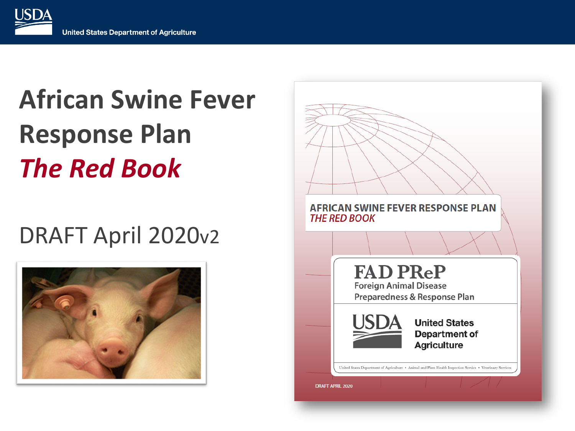**USDA** 

### **African Swine Fever Response Plan**  *The Red Book*

#### DRAFT April 2020v2



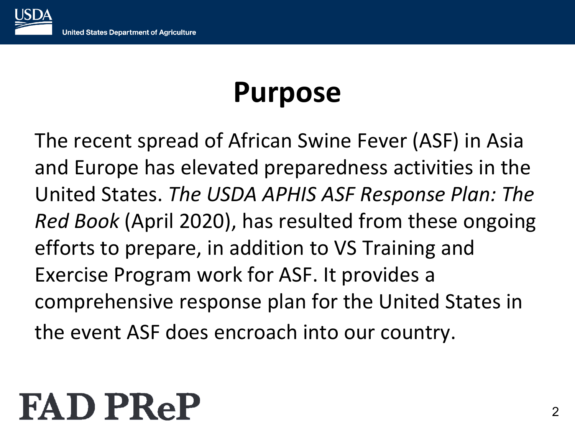#### **Purpose**

The recent spread of African Swine Fever (ASF) in Asia and Europe has elevated preparedness activities in the United States. *The USDA APHIS ASF Response Plan: The Red Book* (April 2020), has resulted from these ongoing efforts to prepare, in addition to VS Training and Exercise Program work for ASF. It provides a comprehensive response plan for the United States in the event ASF does encroach into our country.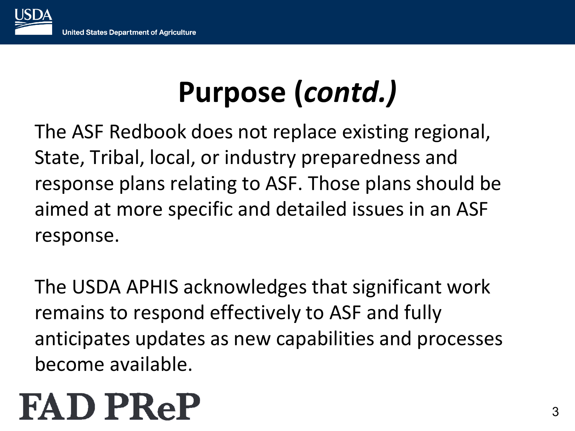### **Purpose (***contd.)*

The ASF Redbook does not replace existing regional, State, Tribal, local, or industry preparedness and response plans relating to ASF. Those plans should be aimed at more specific and detailed issues in an ASF response.

The USDA APHIS acknowledges that significant work remains to respond effectively to ASF and fully anticipates updates as new capabilities and processes become available.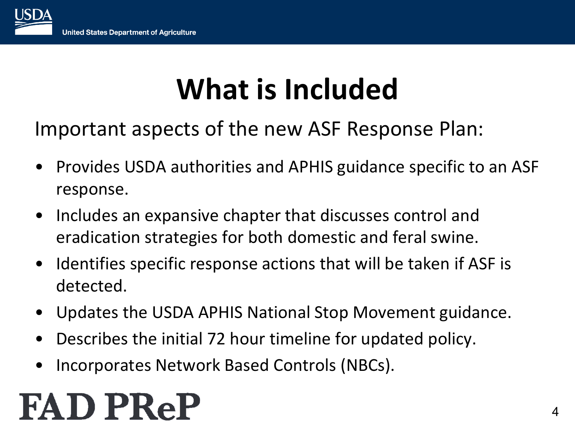### **What is Included**

Important aspects of the new ASF Response Plan:

- Provides USDA authorities and APHIS guidance specific to an ASF response.
- Includes an expansive chapter that discusses control and eradication strategies for both domestic and feral swine.
- Identifies specific response actions that will be taken if ASF is detected.
- Updates the USDA APHIS National Stop Movement guidance.
- Describes the initial 72 hour timeline for updated policy.
- Incorporates Network Based Controls (NBCs).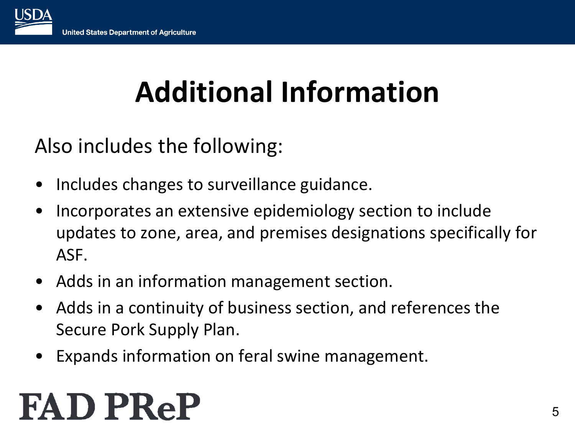### **Additional Information**

Also includes the following:

- Includes changes to surveillance guidance.
- Incorporates an extensive epidemiology section to include updates to zone, area, and premises designations specifically for ASF.
- Adds in an information management section.
- Adds in a continuity of business section, and references the Secure Pork Supply Plan.
- Expands information on feral swine management.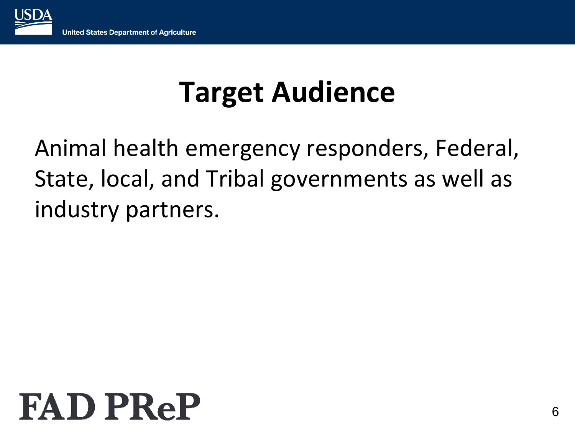

### **Target Audience**

#### Animal health emergency responders, Federal, State, local, and Tribal governments as well as industry partners.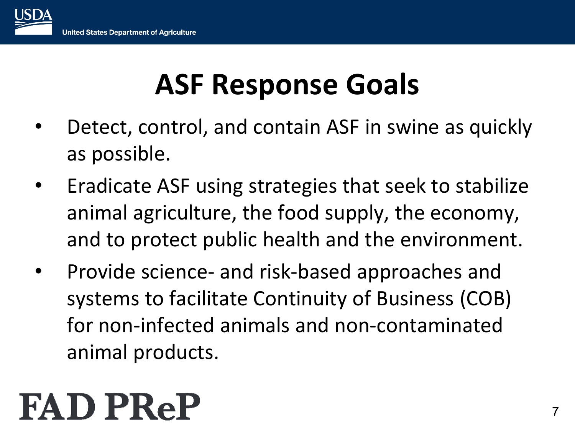### **ASF Response Goals**

- Detect, control, and contain ASF in swine as quickly as possible.
- Eradicate ASF using strategies that seek to stabilize animal agriculture, the food supply, the economy, and to protect public health and the environment.
- Provide science- and risk-based approaches and systems to facilitate Continuity of Business (COB) for non-infected animals and non-contaminated animal products.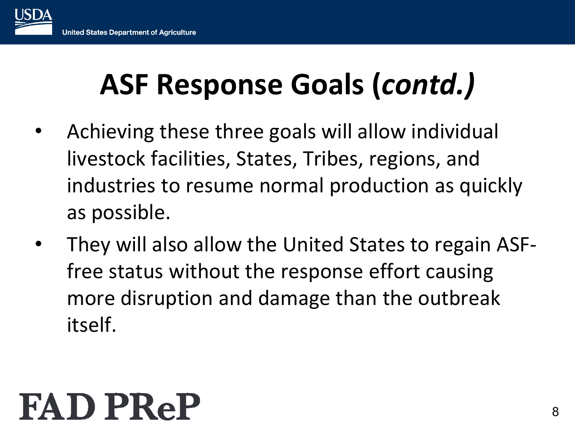### **ASF Response Goals (***contd.)*

- Achieving these three goals will allow individual livestock facilities, States, Tribes, regions, and industries to resume normal production as quickly as possible.
- They will also allow the United States to regain ASFfree status without the response effort causing more disruption and damage than the outbreak itself.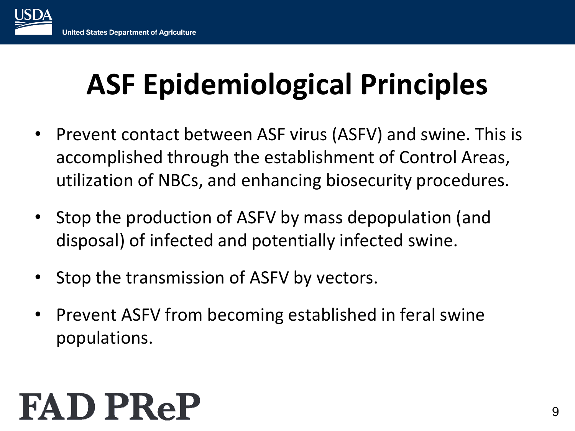### **ASF Epidemiological Principles**

- Prevent contact between ASF virus (ASFV) and swine. This is accomplished through the establishment of Control Areas, utilization of NBCs, and enhancing biosecurity procedures.
- Stop the production of ASFV by mass depopulation (and disposal) of infected and potentially infected swine.
- Stop the transmission of ASFV by vectors.
- Prevent ASFV from becoming established in feral swine populations.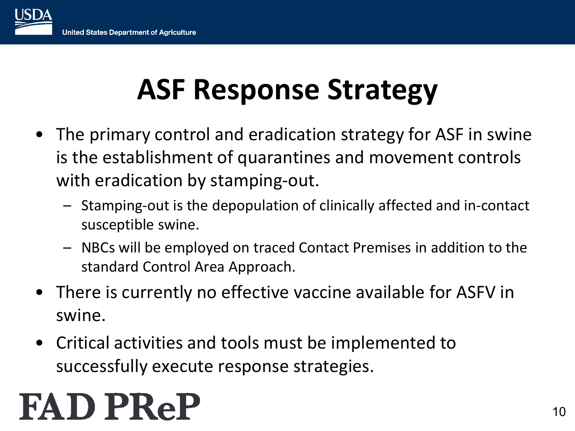- The primary control and eradication strategy for ASF in swine is the establishment of quarantines and movement controls with eradication by stamping-out.
	- Stamping-out is the depopulation of clinically affected and in-contact susceptible swine.
	- NBCs will be employed on traced Contact Premises in addition to the standard Control Area Approach.
- There is currently no effective vaccine available for ASFV in swine.
- Critical activities and tools must be implemented to successfully execute response strategies.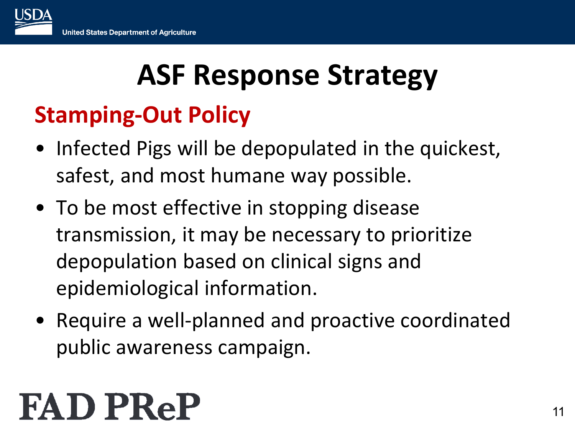#### **Stamping-Out Policy**

- Infected Pigs will be depopulated in the quickest, safest, and most humane way possible.
- To be most effective in stopping disease transmission, it may be necessary to prioritize depopulation based on clinical signs and epidemiological information.
- Require a well-planned and proactive coordinated public awareness campaign.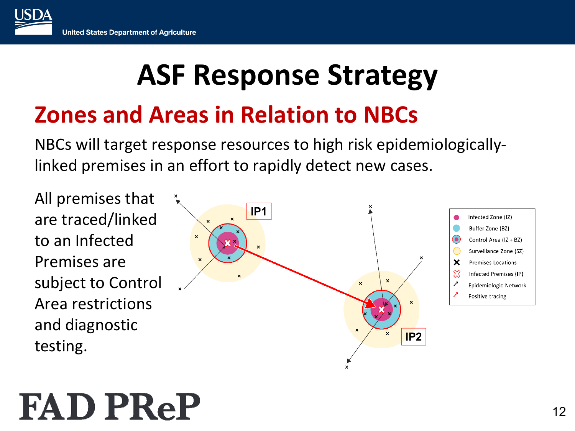#### **Zones and Areas in Relation to NBCs**

NBCs will target response resources to high risk epidemiologicallylinked premises in an effort to rapidly detect new cases.

All premises that IP<sub>1</sub> are traced/linked to an Infected  $\pmb{\times}$ Premises are subject to Control Area restrictions and diagnostic  $\pmb{\times}$ testing.



 $\pmb{\times}$ 

 $IP2$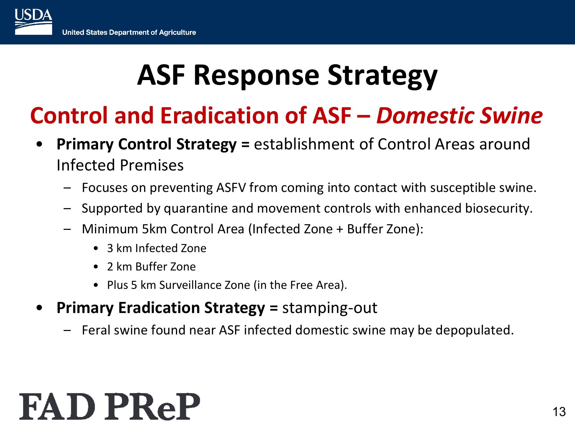#### **Control and Eradication of ASF –** *Domestic Swine*

- **Primary Control Strategy =** establishment of Control Areas around Infected Premises
	- Focuses on preventing ASFV from coming into contact with susceptible swine.
	- Supported by quarantine and movement controls with enhanced biosecurity.
	- Minimum 5km Control Area (Infected Zone + Buffer Zone):
		- 3 km Infected Zone
		- 2 km Buffer Zone
		- Plus 5 km Surveillance Zone (in the Free Area).
- **Primary Eradication Strategy =** stamping-out
	- Feral swine found near ASF infected domestic swine may be depopulated.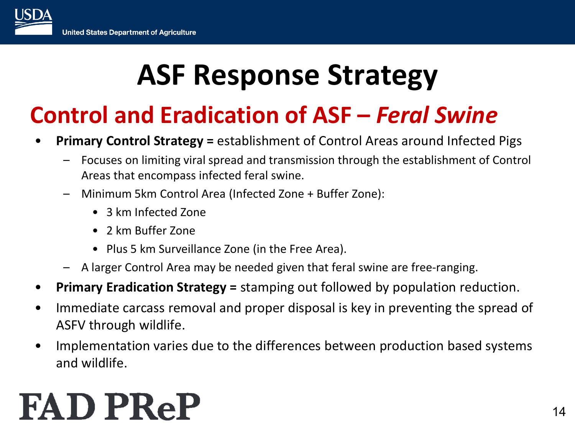#### **Control and Eradication of ASF –** *Feral Swine*

- **Primary Control Strategy =** establishment of Control Areas around Infected Pigs
	- Focuses on limiting viral spread and transmission through the establishment of Control Areas that encompass infected feral swine.
	- Minimum 5km Control Area (Infected Zone + Buffer Zone):
		- 3 km Infected Zone
		- 2 km Buffer Zone
		- Plus 5 km Surveillance Zone (in the Free Area).
	- A larger Control Area may be needed given that feral swine are free-ranging.
- **Primary Eradication Strategy =** stamping out followed by population reduction.
- Immediate carcass removal and proper disposal is key in preventing the spread of ASFV through wildlife.
- Implementation varies due to the differences between production based systems and wildlife.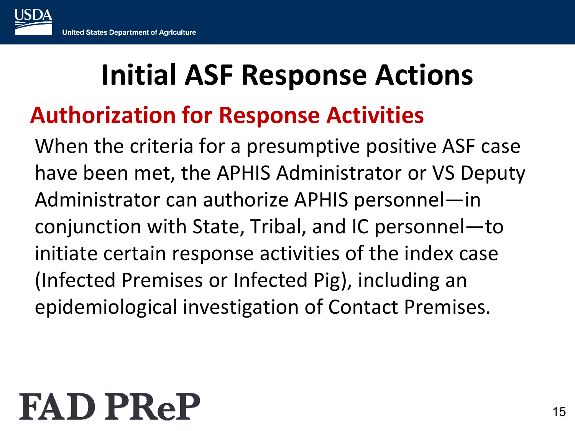#### **Authorization for Response Activities**

When the criteria for a presumptive positive ASF case have been met, the APHIS Administrator or VS Deputy Administrator can authorize APHIS personnel—in conjunction with State, Tribal, and IC personnel—to initiate certain response activities of the index case (Infected Premises or Infected Pig), including an epidemiological investigation of Contact Premises.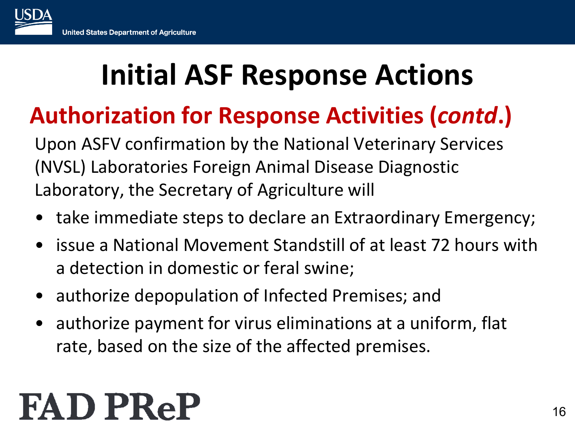#### **Authorization for Response Activities (***contd***.)**

Upon ASFV confirmation by the National Veterinary Services (NVSL) Laboratories Foreign Animal Disease Diagnostic Laboratory, the Secretary of Agriculture will

- take immediate steps to declare an Extraordinary Emergency;
- issue a National Movement Standstill of at least 72 hours with a detection in domestic or feral swine;
- authorize depopulation of Infected Premises; and
- authorize payment for virus eliminations at a uniform, flat rate, based on the size of the affected premises.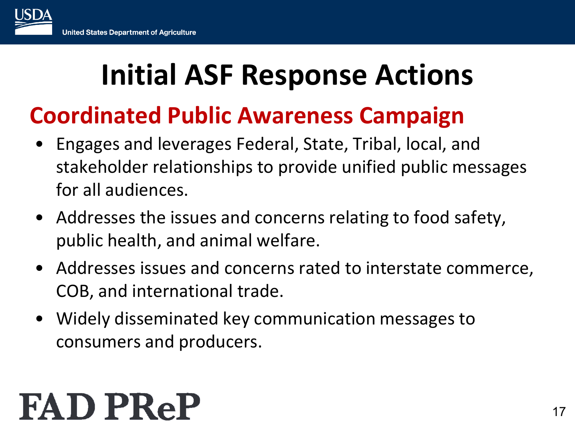#### **Coordinated Public Awareness Campaign**

- Engages and leverages Federal, State, Tribal, local, and stakeholder relationships to provide unified public messages for all audiences.
- Addresses the issues and concerns relating to food safety, public health, and animal welfare.
- Addresses issues and concerns rated to interstate commerce, COB, and international trade.
- Widely disseminated key communication messages to consumers and producers.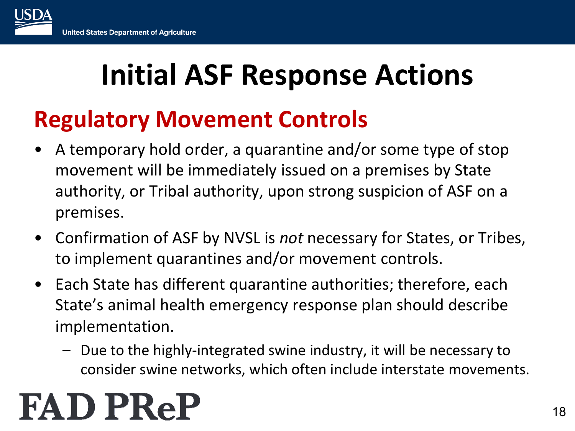#### **Regulatory Movement Controls**

- A temporary hold order, a quarantine and/or some type of stop movement will be immediately issued on a premises by State authority, or Tribal authority, upon strong suspicion of ASF on a premises.
- Confirmation of ASF by NVSL is *not* necessary for States, or Tribes, to implement quarantines and/or movement controls.
- Each State has different quarantine authorities; therefore, each State's animal health emergency response plan should describe implementation.
	- Due to the highly-integrated swine industry, it will be necessary to consider swine networks, which often include interstate movements.

## **FAD PRel**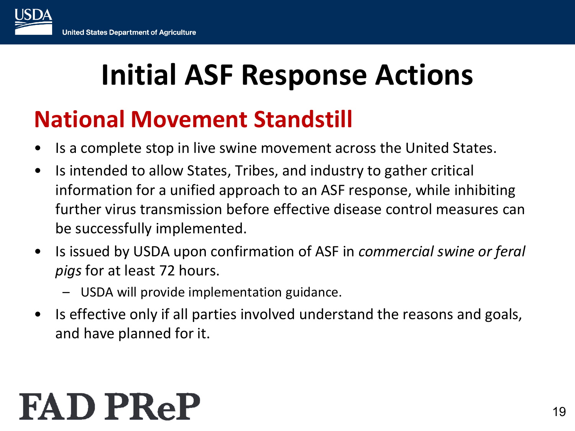#### **National Movement Standstill**

- Is a complete stop in live swine movement across the United States.
- Is intended to allow States, Tribes, and industry to gather critical information for a unified approach to an ASF response, while inhibiting further virus transmission before effective disease control measures can be successfully implemented.
- Is issued by USDA upon confirmation of ASF in *commercial swine or feral pigs* for at least 72 hours.
	- USDA will provide implementation guidance.
- Is effective only if all parties involved understand the reasons and goals, and have planned for it.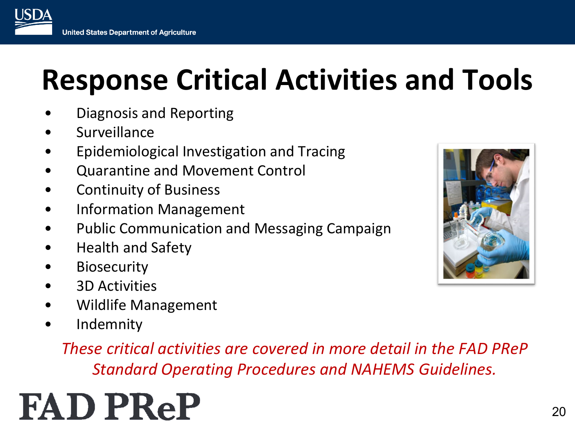- Diagnosis and Reporting
- **Surveillance**

USDZ

- Epidemiological Investigation and Tracing
- Quarantine and Movement Control
- Continuity of Business
- Information Management
- Public Communication and Messaging Campaign
- Health and Safety
- **Biosecurity**
- 3D Activities
- Wildlife Management
- Indemnity

*These critical activities are covered in more detail in the FAD PReP Standard Operating Procedures and NAHEMS Guidelines.*

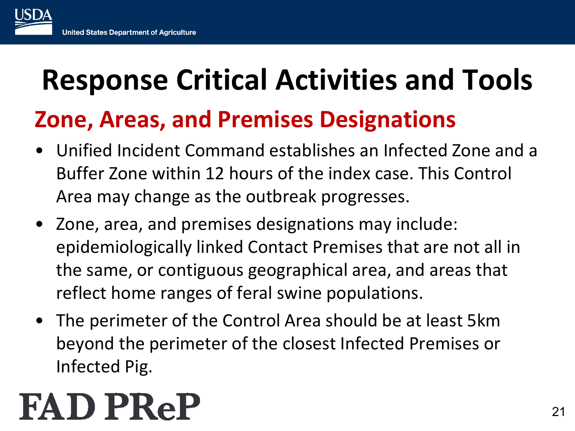#### **Zone, Areas, and Premises Designations**

- Unified Incident Command establishes an Infected Zone and a Buffer Zone within 12 hours of the index case. This Control Area may change as the outbreak progresses.
- Zone, area, and premises designations may include: epidemiologically linked Contact Premises that are not all in the same, or contiguous geographical area, and areas that reflect home ranges of feral swine populations.
- The perimeter of the Control Area should be at least 5km beyond the perimeter of the closest Infected Premises or Infected Pig.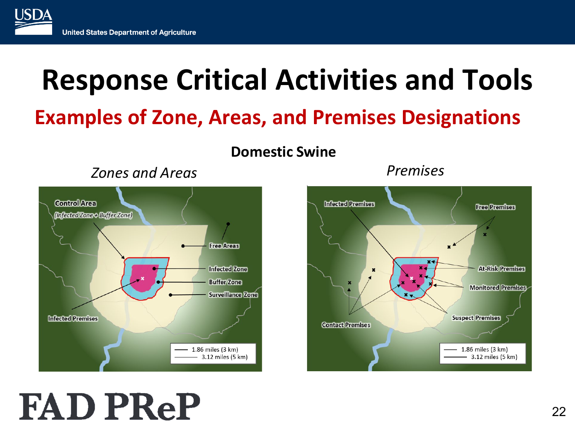#### **Examples of Zone, Areas, and Premises Designations**

**Domestic Swine**

#### *Zones and Areas Premises*



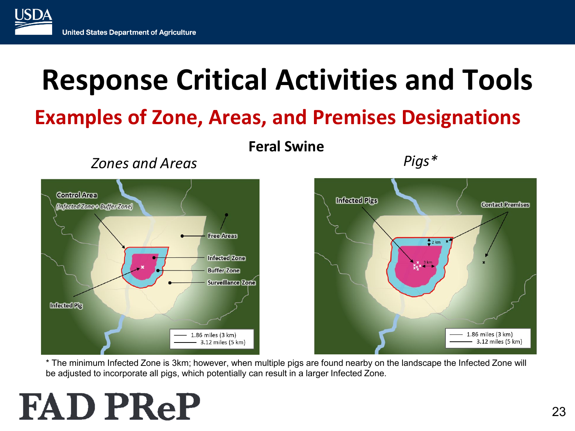#### **Examples of Zone, Areas, and Premises Designations**



**Feral Swine**

*Zones and Areas Pigs\**



\* The minimum Infected Zone is 3km; however, when multiple pigs are found nearby on the landscape the Infected Zone will be adjusted to incorporate all pigs, which potentially can result in a larger Infected Zone.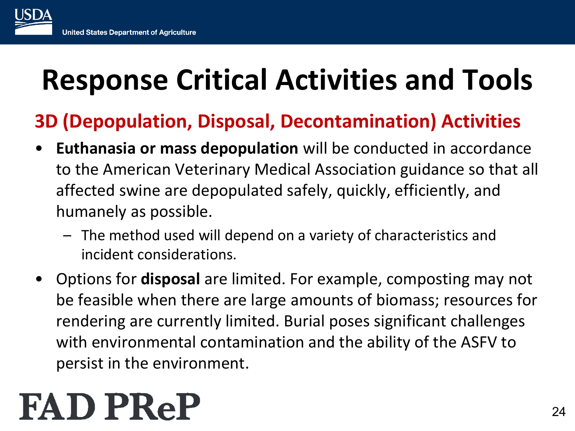#### **3D (Depopulation, Disposal, Decontamination) Activities**

- **Euthanasia or mass depopulation** will be conducted in accordance to the American Veterinary Medical Association guidance so that all affected swine are depopulated safely, quickly, efficiently, and humanely as possible.
	- The method used will depend on a variety of characteristics and incident considerations.
- Options for **disposal** are limited. For example, composting may not be feasible when there are large amounts of biomass; resources for rendering are currently limited. Burial poses significant challenges with environmental contamination and the ability of the ASFV to persist in the environment.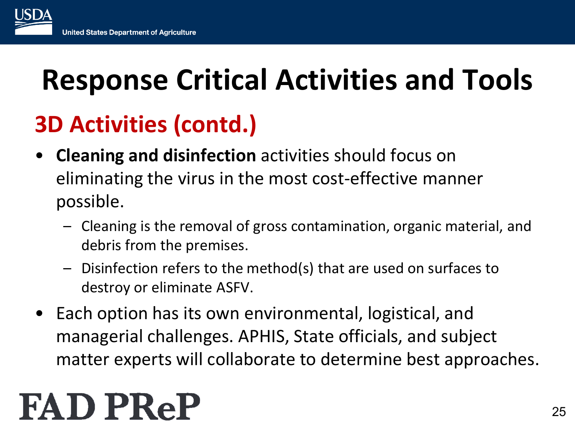#### **3D Activities (contd.)**

- **Cleaning and disinfection** activities should focus on eliminating the virus in the most cost-effective manner possible.
	- Cleaning is the removal of gross contamination, organic material, and debris from the premises.
	- Disinfection refers to the method(s) that are used on surfaces to destroy or eliminate ASFV.
- Each option has its own environmental, logistical, and managerial challenges. APHIS, State officials, and subject matter experts will collaborate to determine best approaches.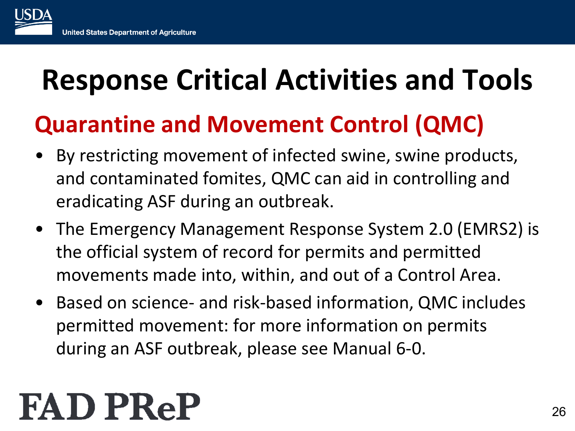#### **Quarantine and Movement Control (QMC)**

- By restricting movement of infected swine, swine products, and contaminated fomites, QMC can aid in controlling and eradicating ASF during an outbreak.
- The Emergency Management Response System 2.0 (EMRS2) is the official system of record for permits and permitted movements made into, within, and out of a Control Area.
- Based on science- and risk-based information, QMC includes permitted movement: for more information on permits during an ASF outbreak, please see Manual 6-0.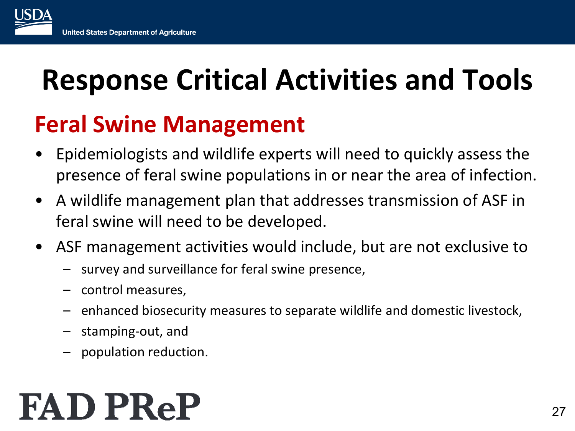#### **Feral Swine Management**

- Epidemiologists and wildlife experts will need to quickly assess the presence of feral swine populations in or near the area of infection.
- A wildlife management plan that addresses transmission of ASF in feral swine will need to be developed.
- ASF management activities would include, but are not exclusive to
	- survey and surveillance for feral swine presence,
	- control measures,
	- enhanced biosecurity measures to separate wildlife and domestic livestock,
	- stamping-out, and
	- population reduction.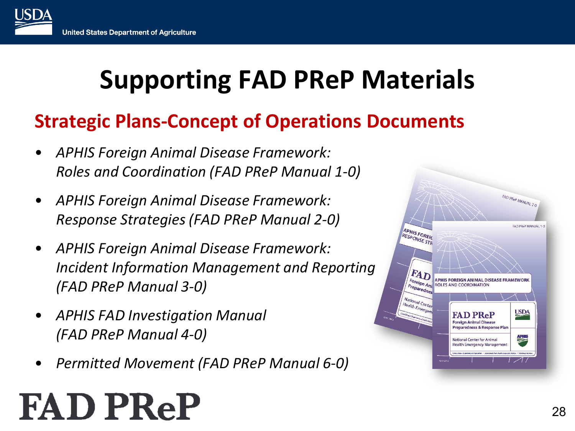#### **Supporting FAD PReP Materials**

#### **Strategic Plans-Concept of Operations Documents**

- *APHIS Foreign Animal Disease Framework: Roles and Coordination (FAD PReP Manual 1-0)*
- *APHIS Foreign Animal Disease Framework: Response Strategies (FAD PReP Manual 2-0)*
- *APHIS Foreign Animal Disease Framework: Incident Information Management and Reporting (FAD PReP Manual 3-0)*
- *APHIS FAD Investigation Manual (FAD PReP Manual 4-0)*
- *Permitted Movement (FAD PReP Manual 6-0)*

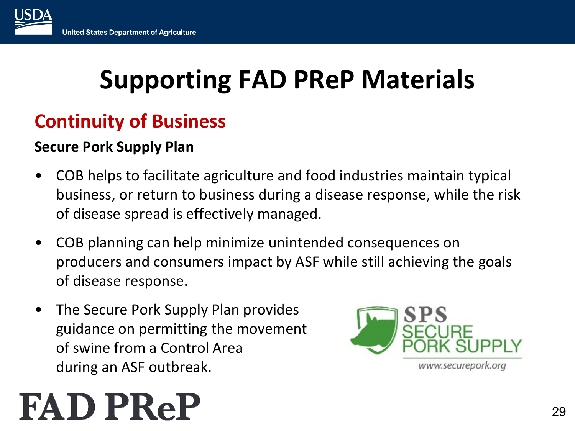#### **Supporting FAD PReP Materials**

#### **Continuity of Business**

#### **Secure Pork Supply Plan**

- COB helps to facilitate agriculture and food industries maintain typical business, or return to business during a disease response, while the risk of disease spread is effectively managed.
- COB planning can help minimize unintended consequences on producers and consumers impact by ASF while still achieving the goals of disease response.
- The Secure Pork Supply Plan provides guidance on permitting the movement of swine from a Control Area during an ASF outbreak.

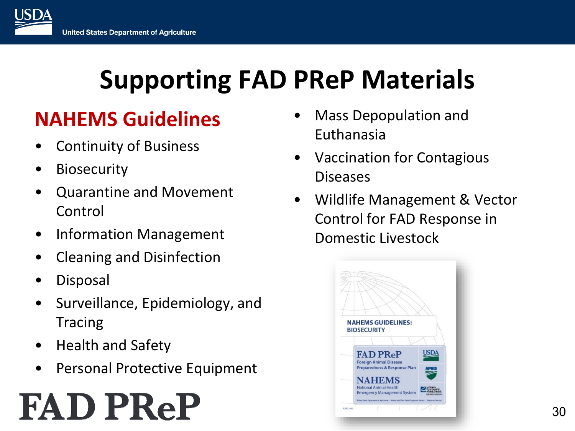#### **Supporting FAD PReP Materials**

#### **NAHEMS Guidelines**

- Continuity of Business
- **Biosecurity**
- Quarantine and Movement Control
- Information Management
- Cleaning and Disinfection
- Disposal
- Surveillance, Epidemiology, and Tracing
- Health and Safety
- Personal Protective Equipment

- Mass Depopulation and Euthanasia
- Vaccination for Contagious Diseases
- Wildlife Management & Vector Control for FAD Response in Domestic Livestock